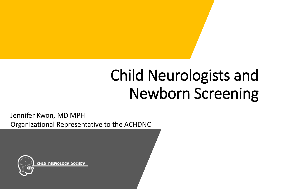# Child Neurologists and Newborn Screening

Jennifer Kwon, MD MPH Organizational Representative to the ACHDNC

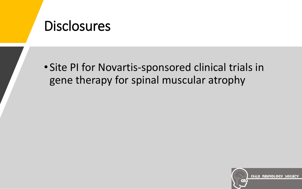#### **Disclosures**

• Site PI for Novartis-sponsored clinical trials in gene therapy for spinal muscular atrophy

CHILD NEUROLOGY SOCIETY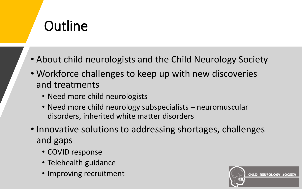## **Outline**

- About child neurologists and the Child Neurology Society
- Workforce challenges to keep up with new discoveries and treatments
	- Need more child neurologists
	- Need more child neurology subspecialists neuromuscular disorders, inherited white matter disorders
- Innovative solutions to addressing shortages, challenges and gaps
	- COVID response
	- Telehealth guidance
	- Improving recruitment

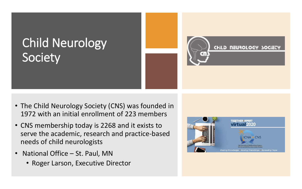### Child Neurology Society



- The Child Neurology Society (CNS) was founded in 1972 with an initial enrollment of 223 members
- CNS membership today is 2268 and it exists to serve the academic, research and practice-based needs of child neurologists
- National Office St. Paul, MN
	- Roger Larson, Executive Director

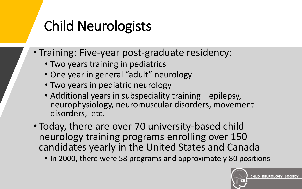## Child Neurologists

- Training: Five-year post-graduate residency:
	- Two years training in pediatrics
	- One year in general "adult" neurology
	- Two years in pediatric neurology
	- Additional years in subspeciality training—epilepsy, neurophysiology, neuromuscular disorders, movement disorders, etc.
- Today, there are over 70 university-based child neurology training programs enrolling over 150 candidates yearly in the United States and Canada
	- In 2000, there were 58 programs and approximately 80 positions

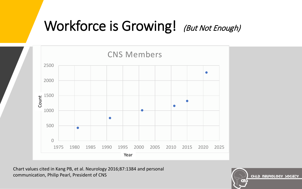## Workforce is Growing! (But Not Enough)



Chart values cited in Kang PB, et al. Neurology 2016;87:1384 and personal communication, Philip Pearl, President of CNS

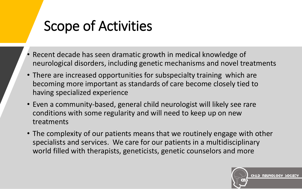## Scope of Activities

- Recent decade has seen dramatic growth in medical knowledge of neurological disorders, including genetic mechanisms and novel treatments
- There are increased opportunities for subspecialty training which are becoming more important as standards of care become closely tied to having specialized experience
- Even a community-based, general child neurologist will likely see rare conditions with some regularity and will need to keep up on new treatments
- The complexity of our patients means that we routinely engage with other specialists and services. We care for our patients in a multidisciplinary world filled with therapists, geneticists, genetic counselors and more

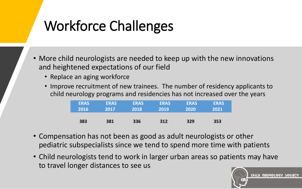# Workforce Challenges

- More child neurologists are needed to keep up with the new innovations and heightened expectations of our field
	- Replace an aging workforce
	- Improve recruitment of new trainees. The number of residency applicants to child neurology programs and residencies has not increased over the years

| <b>ERAS</b> | <b>ERAS</b> | <b>ERAS</b> | <b>ERAS</b> | <b>ERAS</b> | <b>ERAS</b> |
|-------------|-------------|-------------|-------------|-------------|-------------|
| 2016        | 2017        | 2018        | 2019        | 2020        | 2021        |
| 383         | 381         | 336         | 312         | 329         | 353         |

- Compensation has not been as good as adult neurologists or other pediatric subspecialists since we tend to spend more time with patients
- Child neurologists tend to work in larger urban areas so patients may have to travel longer distances to see us

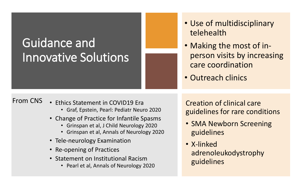## Guidance and Innovative Solutions

- Use of multidisciplinary telehealth
- Making the most of inperson visits by increasing care coordination
- Outreach clinics

#### From CNS

- Ethics Statement in COVID19 Era
	- Graf, Epstein, Pearl: Pediatr Neuro 2020
- Change of Practice for Infantile Spasms
	- Grinspan et al, J Child Neurology 2020
	- Grinspan et al, Annals of Neurology 2020
- Tele-neurology Examination
- Re-opening of Practices
- Statement on Institutional Racism
	- Pearl et al, Annals of Neurology 2020

Creation of clinical care guidelines for rare conditions

- SMA Newborn Screening guidelines
- X-linked adrenoleukodystrophy guidelines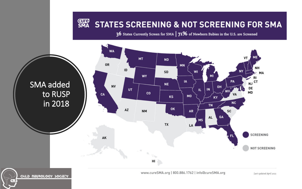#### SMA STATES SCREENING & NOT SCREENING FOR SMA

36 States Currently Screen for SMA | 71% of Newborn Babies in the U.S. are Screened

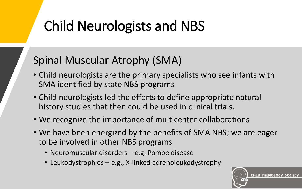## Child Neurologists and NBS

#### Spinal Muscular Atrophy (SMA)

- Child neurologists are the primary specialists who see infants with SMA identified by state NBS programs
- Child neurologists led the efforts to define appropriate natural history studies that then could be used in clinical trials.
- We recognize the importance of multicenter collaborations
- We have been energized by the benefits of SMA NBS; we are eager to be involved in other NBS programs
	- Neuromuscular disorders e.g. Pompe disease
	- Leukodystrophies e.g., X-linked adrenoleukodystrophy

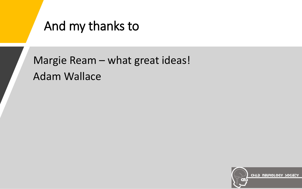#### And my thanks to

Margie Ream – what great ideas! Adam Wallace